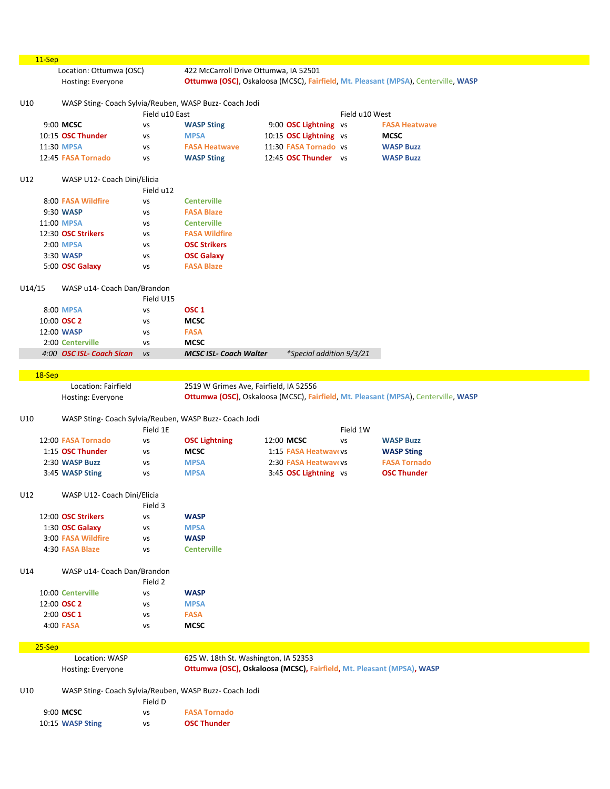|        | $11-Sep$ |                                              |                |                                                                       |                                               |                |                                                                                    |
|--------|----------|----------------------------------------------|----------------|-----------------------------------------------------------------------|-----------------------------------------------|----------------|------------------------------------------------------------------------------------|
|        |          | Location: Ottumwa (OSC)<br>Hosting: Everyone |                | 422 McCarroll Drive Ottumwa, IA 52501                                 |                                               |                | Ottumwa (OSC), Oskaloosa (MCSC), Fairfield, Mt. Pleasant (MPSA), Centerville, WASP |
| U10    |          |                                              | Field u10 East | WASP Sting- Coach Sylvia/Reuben, WASP Buzz- Coach Jodi                |                                               | Field u10 West |                                                                                    |
|        |          | 9:00 MCSC                                    |                |                                                                       |                                               |                |                                                                                    |
|        |          |                                              | VS             | <b>WASP Sting</b>                                                     | 9:00 OSC Lightning vs                         |                | <b>FASA Heatwave</b>                                                               |
|        |          | 10:15 OSC Thunder                            | VS             | <b>MPSA</b>                                                           | 10:15 OSC Lightning vs                        |                | <b>MCSC</b>                                                                        |
|        |          | 11:30 MPSA                                   | VS             | <b>FASA Heatwave</b>                                                  | 11:30 FASA Tornado vs                         |                | <b>WASP Buzz</b>                                                                   |
|        |          | 12:45 FASA Tornado                           | VS             | <b>WASP Sting</b>                                                     | 12:45 OSC Thunder vs                          |                | <b>WASP Buzz</b>                                                                   |
| U12    |          | WASP U12- Coach Dini/Elicia                  | Field u12      |                                                                       |                                               |                |                                                                                    |
|        |          | 8:00 FASA Wildfire                           | VS             | <b>Centerville</b>                                                    |                                               |                |                                                                                    |
|        |          | 9:30 WASP                                    | VS             | <b>FASA Blaze</b>                                                     |                                               |                |                                                                                    |
|        |          | 11:00 MPSA                                   | VS             | <b>Centerville</b>                                                    |                                               |                |                                                                                    |
|        |          | 12:30 OSC Strikers                           | VS             | <b>FASA Wildfire</b>                                                  |                                               |                |                                                                                    |
|        |          | 2:00 MPSA                                    | VS             | <b>OSC Strikers</b>                                                   |                                               |                |                                                                                    |
|        |          | 3:30 WASP                                    | VS             | <b>OSC Galaxy</b>                                                     |                                               |                |                                                                                    |
|        |          | 5:00 OSC Galaxy                              | vs             | <b>FASA Blaze</b>                                                     |                                               |                |                                                                                    |
| U14/15 |          | WASP u14- Coach Dan/Brandon                  |                |                                                                       |                                               |                |                                                                                    |
|        |          |                                              | Field U15      |                                                                       |                                               |                |                                                                                    |
|        |          | 8:00 MPSA                                    | VS             | OSC <sub>1</sub>                                                      |                                               |                |                                                                                    |
|        |          | 10:00 OSC 2                                  | vs             | <b>MCSC</b>                                                           |                                               |                |                                                                                    |
|        |          | 12:00 WASP                                   | VS             | <b>FASA</b>                                                           |                                               |                |                                                                                    |
|        |          | 2:00 Centerville                             | <b>VS</b>      | <b>MCSC</b>                                                           |                                               |                |                                                                                    |
|        |          | 4:00 OSC ISL- Coach Sican                    | <b>VS</b>      | <b>MCSC ISL- Coach Walter</b>                                         | *Special addition 9/3/21                      |                |                                                                                    |
|        | 18-Sep   |                                              |                |                                                                       |                                               |                |                                                                                    |
|        |          | Location: Fairfield                          |                | 2519 W Grimes Ave, Fairfield, IA 52556                                |                                               |                |                                                                                    |
|        |          | Hosting: Everyone                            |                |                                                                       |                                               |                | Ottumwa (OSC), Oskaloosa (MCSC), Fairfield, Mt. Pleasant (MPSA), Centerville, WASP |
|        |          |                                              |                |                                                                       |                                               |                |                                                                                    |
| U10    |          |                                              |                | WASP Sting- Coach Sylvia/Reuben, WASP Buzz- Coach Jodi                |                                               |                |                                                                                    |
|        |          |                                              | Field 1E       |                                                                       |                                               | Field 1W       |                                                                                    |
|        |          | 12:00 FASA Tornado                           | VS             | <b>OSC Lightning</b>                                                  | 12:00 MCSC                                    | <b>VS</b>      | <b>WASP Buzz</b>                                                                   |
|        |          | 1:15 OSC Thunder                             | VS             | <b>MCSC</b>                                                           | 1:15 FASA Heatway vs                          |                | <b>WASP Sting</b>                                                                  |
|        |          | 2:30 WASP Buzz<br>3:45 WASP Sting            | VS<br>VS       | <b>MPSA</b><br><b>MPSA</b>                                            | 2:30 FASA Heatwavevs<br>3:45 OSC Lightning vs |                | <b>FASA Tornado</b><br><b>OSC Thunder</b>                                          |
| U12    |          | WASP U12- Coach Dini/Elicia                  |                |                                                                       |                                               |                |                                                                                    |
|        |          |                                              | Field 3        |                                                                       |                                               |                |                                                                                    |
|        |          | 12:00 OSC Strikers                           | vs             | <b>WASP</b>                                                           |                                               |                |                                                                                    |
|        |          | 1:30 OSC Galaxy                              | vs             | <b>MPSA</b>                                                           |                                               |                |                                                                                    |
|        |          | 3:00 FASA Wildfire                           | vs             | <b>WASP</b>                                                           |                                               |                |                                                                                    |
|        |          | 4:30 FASA Blaze                              | vs             | <b>Centerville</b>                                                    |                                               |                |                                                                                    |
| U14    |          | WASP u14- Coach Dan/Brandon                  |                |                                                                       |                                               |                |                                                                                    |
|        |          |                                              | Field 2        |                                                                       |                                               |                |                                                                                    |
|        |          | 10:00 Centerville                            | <b>VS</b>      | <b>WASP</b>                                                           |                                               |                |                                                                                    |
|        |          | 12:00 OSC 2                                  | VS             | <b>MPSA</b>                                                           |                                               |                |                                                                                    |
|        |          | 2:00 OSC 1                                   | VS             | <b>FASA</b>                                                           |                                               |                |                                                                                    |
|        |          | 4:00 FASA                                    | vs             | <b>MCSC</b>                                                           |                                               |                |                                                                                    |
|        | $25-Sep$ |                                              |                |                                                                       |                                               |                |                                                                                    |
|        |          | Location: WASP                               |                | 625 W. 18th St. Washington, IA 52353                                  |                                               |                |                                                                                    |
|        |          | Hosting: Everyone                            |                | Ottumwa (OSC), Oskaloosa (MCSC), Fairfield, Mt. Pleasant (MPSA), WASP |                                               |                |                                                                                    |
| U10    |          |                                              |                | WASP Sting- Coach Sylvia/Reuben, WASP Buzz- Coach Jodi                |                                               |                |                                                                                    |
|        |          |                                              | Field D        |                                                                       |                                               |                |                                                                                    |
|        |          | 9:00 MCSC<br>10:15 WASP Sting                | vs<br>VS       | <b>FASA Tornado</b><br><b>OSC Thunder</b>                             |                                               |                |                                                                                    |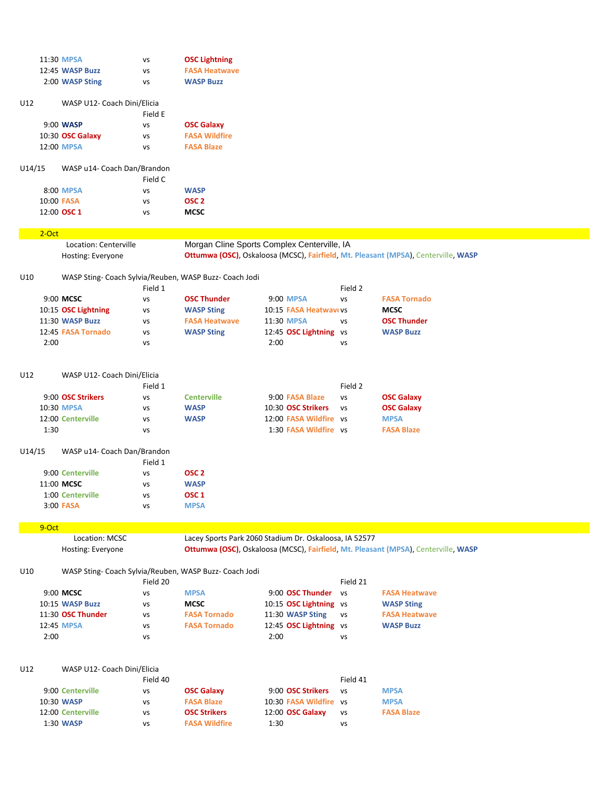| 11:30 MPSA      | vs | <b>OSC Lightning</b> |
|-----------------|----|----------------------|
| 12:45 WASP Buzz | vs | <b>FASA Heatwave</b> |
| 2:00 WASP Sting | vs | <b>WASP Buzz</b>     |

| U12 | WASP U12- Coach Dini/Elicia |         |                      |
|-----|-----------------------------|---------|----------------------|
|     |                             | Field E |                      |
|     | 9:00 WASP                   | vs      | <b>OSC Galaxy</b>    |
|     | 10:30 OSC Galaxy            | vs      | <b>FASA Wildfire</b> |
|     | 12:00 MPSA                  | vs      | <b>FASA Blaze</b>    |
|     |                             |         |                      |

## U14/15 WASP u14- Coach Dan/Brandon

|             | Field C |                  |
|-------------|---------|------------------|
| 8:00 MPSA   | v٢      | <b>WASP</b>      |
| 10:00 FASA  | v٢      | OSC <sub>2</sub> |
| 12:00 OSC 1 | vs      | <b>MCSC</b>      |

## 2-Oct

Location: Centerville Morgan Cline Sports Complex Centerville, IA Hosting: Everyone **Ottumwa (OSC)**, Oskaloosa (MCSC), **Fairfield**, **Mt. Pleasant (MPSA**), Centerville, **WASP**

# U10 WASP Sting- Coach Sylvia/Reuben, WASP Buzz- Coach Jodi

|                     | Field 1 |                      |                        | Field 2 |                     |
|---------------------|---------|----------------------|------------------------|---------|---------------------|
| 9:00 MCSC           | vs      | <b>OSC Thunder</b>   | 9:00 MPSA              | vs      | <b>FASA Tornado</b> |
| 10:15 OSC Lightning | vs      | <b>WASP Sting</b>    | 10:15 FASA Heatway vs  |         | <b>MCSC</b>         |
| 11:30 WASP Buzz     | vs      | <b>FASA Heatwave</b> | 11:30 MPSA             | v٢      | <b>OSC Thunder</b>  |
| 12:45 FASA Tornado  | vs      | <b>WASP Sting</b>    | 12:45 OSC Lightning vs |         | <b>WASP Buzz</b>    |
| 2:00                | vs      |                      | 2:00                   | vs      |                     |

## U12 WASP U12- Coach Dini/Elicia

| Field 1                        |                    |                 | Field 2   |                                                                       |
|--------------------------------|--------------------|-----------------|-----------|-----------------------------------------------------------------------|
| 9:00 OSC Strikers<br><b>VS</b> | <b>Centerville</b> | 9:00 FASA Blaze | VS        | <b>OSC Galaxy</b>                                                     |
| VS.                            | <b>WASP</b>        |                 | <b>VS</b> | <b>OSC Galaxy</b>                                                     |
| vs                             | <b>WASP</b>        |                 |           | <b>MPSA</b>                                                           |
| vs                             |                    |                 |           | <b>FASA Blaze</b>                                                     |
|                                |                    |                 |           | 10:30 OSC Strikers<br>12:00 FASA Wildfire vs<br>1:30 FASA Wildfire vs |

#### U14/15 WASP u14- Coach Dan/Brandon

|                  | Field 1 |                  |
|------------------|---------|------------------|
| 9:00 Centerville | vs.     | OSC <sub>2</sub> |
| 11:00 MCSC       | vs      | <b>WASP</b>      |
| 1:00 Centerville | vs      | OSC <sub>1</sub> |
| $3:00$ FASA      | vs      | <b>MPSA</b>      |

# 9-Oct

Location: MCSC Lacey Sports Park 2060 Stadium Dr. Oskaloosa, IA 52577 Hosting: Everyone **Ottumwa (OSC)**, Oskaloosa (MCSC), **Fairfield**, **Mt. Pleasant (MPSA**), Centerville, **WASP**

# WASP Sting- Coach Sylvia/Reuben, WASP Buzz- Coach Jodi

|                   | Field 20 |                     |                        | Field 21 |                      |
|-------------------|----------|---------------------|------------------------|----------|----------------------|
| 9:00 MCSC         | vs       | <b>MPSA</b>         | 9:00 OSC Thunder       | VS.      | <b>FASA Heatwave</b> |
| 10:15 WASP Buzz   | vs       | <b>MCSC</b>         | 10:15 OSC Lightning vs |          | <b>WASP Sting</b>    |
| 11:30 OSC Thunder | vs       | <b>FASA Tornado</b> | 11:30 WASP Sting       | VS       | <b>FASA Heatwave</b> |
| 12:45 MPSA        | VS       | <b>FASA Tornado</b> | 12:45 OSC Lightning vs |          | <b>WASP Buzz</b>     |
| 2:00              | VS       |                     | 2:00                   | vs       |                      |

# U12 WASP U12- Coach Dini/Elicia Field 40 Field 41

| 9:00 Centerville  | vs | <b>OSC Galaxy</b>    | 9:00 OSC Strikers       | VS. | <b>MPSA</b>       |
|-------------------|----|----------------------|-------------------------|-----|-------------------|
| 10:30 WASP        | vs | <b>FASA Blaze</b>    | 10:30 FASA Wildfire vs  |     | <b>MPSA</b>       |
| 12:00 Centerville | vs | <b>OSC Strikers</b>  | 12:00 <b>OSC Galaxy</b> | VS. | <b>FASA Blaze</b> |
| 1:30 WASP         | vs | <b>FASA Wildfire</b> | 1:30                    | vs  |                   |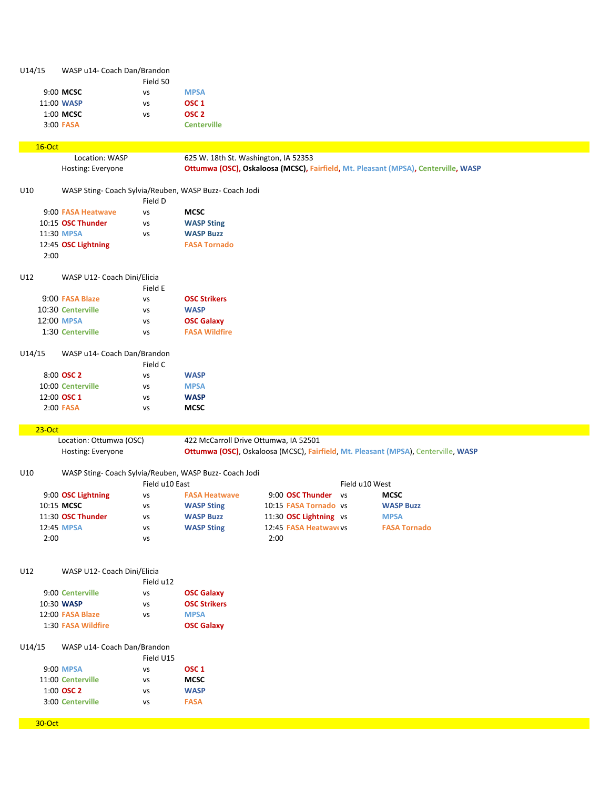| U14/15   | WASP u14- Coach Dan/Brandon |                |                                                        |                                       |                |                                                                                    |  |
|----------|-----------------------------|----------------|--------------------------------------------------------|---------------------------------------|----------------|------------------------------------------------------------------------------------|--|
|          |                             | Field 50       |                                                        |                                       |                |                                                                                    |  |
|          | 9:00 MCSC                   | vs             | <b>MPSA</b>                                            |                                       |                |                                                                                    |  |
|          | 11:00 WASP                  | VS             | OSC <sub>1</sub>                                       |                                       |                |                                                                                    |  |
|          | 1:00 MCSC                   | vs             | OSC <sub>2</sub>                                       |                                       |                |                                                                                    |  |
|          | 3:00 FASA                   |                | <b>Centerville</b>                                     |                                       |                |                                                                                    |  |
|          |                             |                |                                                        |                                       |                |                                                                                    |  |
| 16-Oct   | Location: WASP              |                | 625 W. 18th St. Washington, IA 52353                   |                                       |                |                                                                                    |  |
|          | Hosting: Everyone           |                |                                                        |                                       |                | Ottumwa (OSC), Oskaloosa (MCSC), Fairfield, Mt. Pleasant (MPSA), Centerville, WASP |  |
|          |                             |                |                                                        |                                       |                |                                                                                    |  |
| U10      |                             |                | WASP Sting- Coach Sylvia/Reuben, WASP Buzz- Coach Jodi |                                       |                |                                                                                    |  |
|          |                             | Field D        |                                                        |                                       |                |                                                                                    |  |
|          | 9:00 FASA Heatwave          | <b>VS</b>      | <b>MCSC</b>                                            |                                       |                |                                                                                    |  |
|          | 10:15 OSC Thunder           | vs             | <b>WASP Sting</b>                                      |                                       |                |                                                                                    |  |
|          | 11:30 MPSA                  | <b>VS</b>      | <b>WASP Buzz</b>                                       |                                       |                |                                                                                    |  |
|          | 12:45 OSC Lightning         |                | <b>FASA Tornado</b>                                    |                                       |                |                                                                                    |  |
|          | 2:00                        |                |                                                        |                                       |                |                                                                                    |  |
|          |                             |                |                                                        |                                       |                |                                                                                    |  |
| U12      | WASP U12- Coach Dini/Elicia | Field E        |                                                        |                                       |                |                                                                                    |  |
|          | 9:00 FASA Blaze             | vs             | <b>OSC Strikers</b>                                    |                                       |                |                                                                                    |  |
|          | 10:30 Centerville           | <b>VS</b>      | <b>WASP</b>                                            |                                       |                |                                                                                    |  |
|          | 12:00 MPSA                  | <b>VS</b>      | <b>OSC Galaxy</b>                                      |                                       |                |                                                                                    |  |
|          | 1:30 Centerville            | <b>VS</b>      | <b>FASA Wildfire</b>                                   |                                       |                |                                                                                    |  |
|          |                             |                |                                                        |                                       |                |                                                                                    |  |
| U14/15   | WASP u14- Coach Dan/Brandon |                |                                                        |                                       |                |                                                                                    |  |
|          |                             | Field C        |                                                        |                                       |                |                                                                                    |  |
|          | 8:00 OSC 2                  | vs             | <b>WASP</b>                                            |                                       |                |                                                                                    |  |
|          | 10:00 Centerville           | <b>VS</b>      | <b>MPSA</b>                                            |                                       |                |                                                                                    |  |
|          | 12:00 OSC 1                 | vs             | <b>WASP</b>                                            |                                       |                |                                                                                    |  |
|          | 2:00 FASA                   | vs             | <b>MCSC</b>                                            |                                       |                |                                                                                    |  |
|          |                             |                |                                                        |                                       |                |                                                                                    |  |
| $23-Oct$ |                             |                |                                                        |                                       |                |                                                                                    |  |
|          | Location: Ottumwa (OSC)     |                |                                                        | 422 McCarroll Drive Ottumwa, IA 52501 |                | Ottumwa (OSC), Oskaloosa (MCSC), Fairfield, Mt. Pleasant (MPSA), Centerville, WASP |  |
|          | Hosting: Everyone           |                |                                                        |                                       |                |                                                                                    |  |
| U10      |                             |                | WASP Sting- Coach Sylvia/Reuben, WASP Buzz- Coach Jodi |                                       |                |                                                                                    |  |
|          |                             | Field u10 East |                                                        |                                       | Field u10 West |                                                                                    |  |
|          | 9:00 OSC Lightning          | VS             | <b>FASA Heatwave</b>                                   | 9:00 OSC Thunder                      | <b>VS</b>      | <b>MCSC</b>                                                                        |  |
|          | 10:15 MCSC                  | vs             | <b>WASP Sting</b>                                      | 10:15 FASA Tornado vs                 |                | <b>WASP Buzz</b>                                                                   |  |
|          | 11:30 OSC Thunder           | vs             | <b>WASP Buzz</b>                                       | 11:30 OSC Lightning vs                |                | <b>MPSA</b>                                                                        |  |
|          | 12:45 MPSA                  | vs             | <b>WASP Sting</b>                                      | 12:45 FASA Heatwavevs                 |                | <b>FASA Tornado</b>                                                                |  |
|          | 2:00                        | vs             |                                                        | 2:00                                  |                |                                                                                    |  |
|          |                             |                |                                                        |                                       |                |                                                                                    |  |
|          |                             |                |                                                        |                                       |                |                                                                                    |  |
| U12      | WASP U12- Coach Dini/Elicia |                |                                                        |                                       |                |                                                                                    |  |
|          |                             | Field u12      |                                                        |                                       |                |                                                                                    |  |
|          | 9:00 Centerville            | vs             | <b>OSC Galaxy</b>                                      |                                       |                |                                                                                    |  |
|          | 10:30 WASP                  | vs             | <b>OSC Strikers</b>                                    |                                       |                |                                                                                    |  |
|          | 12:00 FASA Blaze            | vs             | <b>MPSA</b>                                            |                                       |                |                                                                                    |  |
|          | 1:30 FASA Wildfire          |                | <b>OSC Galaxy</b>                                      |                                       |                |                                                                                    |  |
| U14/15   | WASP u14- Coach Dan/Brandon |                |                                                        |                                       |                |                                                                                    |  |
|          |                             | Field U15      |                                                        |                                       |                |                                                                                    |  |
|          | 9:00 MPSA                   | vs             | OSC <sub>1</sub>                                       |                                       |                |                                                                                    |  |
|          | 11:00 Centerville           | <b>VS</b>      | <b>MCSC</b>                                            |                                       |                |                                                                                    |  |
|          | 1:00 OSC 2                  | vs             | <b>WASP</b>                                            |                                       |                |                                                                                    |  |
|          | 3:00 Centerville            | vs             | <b>FASA</b>                                            |                                       |                |                                                                                    |  |
|          |                             |                |                                                        |                                       |                |                                                                                    |  |
| 30-Oct   |                             |                |                                                        |                                       |                |                                                                                    |  |